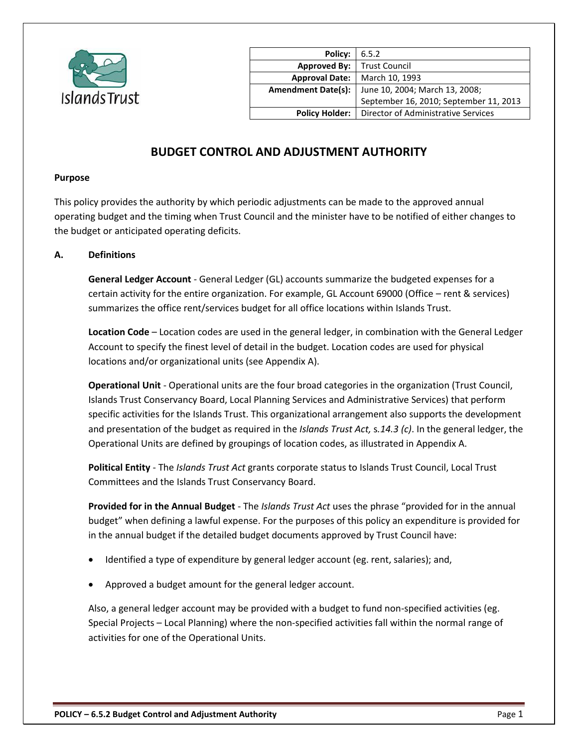

| Policy:                   | 6.5.2                                  |
|---------------------------|----------------------------------------|
| <b>Approved By:</b>       | <b>Trust Council</b>                   |
| <b>Approval Date:</b>     | March 10, 1993                         |
| <b>Amendment Date(s):</b> | June 10, 2004; March 13, 2008;         |
|                           | September 16, 2010; September 11, 2013 |
| <b>Policy Holder:</b>     | Director of Administrative Services    |
|                           |                                        |

# **BUDGET CONTROL AND ADJUSTMENT AUTHORITY**

#### **Purpose**

This policy provides the authority by which periodic adjustments can be made to the approved annual operating budget and the timing when Trust Council and the minister have to be notified of either changes to the budget or anticipated operating deficits.

#### **A. Definitions**

**General Ledger Account** - General Ledger (GL) accounts summarize the budgeted expenses for a certain activity for the entire organization. For example, GL Account 69000 (Office – rent & services) summarizes the office rent/services budget for all office locations within Islands Trust.

**Location Code** – Location codes are used in the general ledger, in combination with the General Ledger Account to specify the finest level of detail in the budget. Location codes are used for physical locations and/or organizational units (see Appendix A).

**Operational Unit** - Operational units are the four broad categories in the organization (Trust Council, Islands Trust Conservancy Board, Local Planning Services and Administrative Services) that perform specific activities for the Islands Trust. This organizational arrangement also supports the development and presentation of the budget as required in the *Islands Trust Act,* s*.14.3 (c)*. In the general ledger, the Operational Units are defined by groupings of location codes, as illustrated in Appendix A.

**Political Entity** - The *Islands Trust Act* grants corporate status to Islands Trust Council, Local Trust Committees and the Islands Trust Conservancy Board.

**Provided for in the Annual Budget** - The *Islands Trust Act* uses the phrase "provided for in the annual budget" when defining a lawful expense. For the purposes of this policy an expenditure is provided for in the annual budget if the detailed budget documents approved by Trust Council have:

- Identified a type of expenditure by general ledger account (eg. rent, salaries); and,
- Approved a budget amount for the general ledger account.

Also, a general ledger account may be provided with a budget to fund non-specified activities (eg. Special Projects – Local Planning) where the non-specified activities fall within the normal range of activities for one of the Operational Units.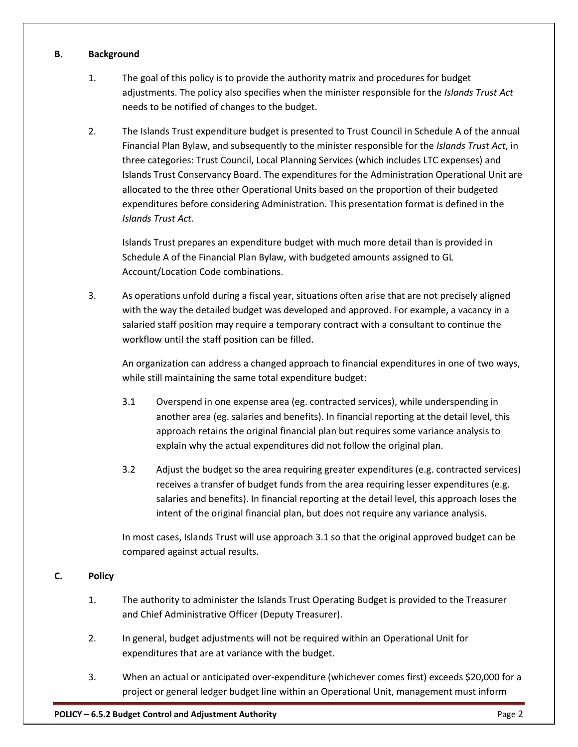#### **B. Background**

- 1. The goal of this policy is to provide the authority matrix and procedures for budget adjustments. The policy also specifies when the minister responsible for the *Islands Trust Act* needs to be notified of changes to the budget.
- 2. The Islands Trust expenditure budget is presented to Trust Council in Schedule A of the annual Financial Plan Bylaw, and subsequently to the minister responsible for the *Islands Trust Act*, in three categories: Trust Council, Local Planning Services (which includes LTC expenses) and Islands Trust Conservancy Board. The expenditures for the Administration Operational Unit are allocated to the three other Operational Units based on the proportion of their budgeted expenditures before considering Administration. This presentation format is defined in the *Islands Trust Act*.

Islands Trust prepares an expenditure budget with much more detail than is provided in Schedule A of the Financial Plan Bylaw, with budgeted amounts assigned to GL Account/Location Code combinations.

3. As operations unfold during a fiscal year, situations often arise that are not precisely aligned with the way the detailed budget was developed and approved. For example, a vacancy in a salaried staff position may require a temporary contract with a consultant to continue the workflow until the staff position can be filled.

An organization can address a changed approach to financial expenditures in one of two ways, while still maintaining the same total expenditure budget:

- 3.1 Overspend in one expense area (eg. contracted services), while underspending in another area (eg. salaries and benefits). In financial reporting at the detail level, this approach retains the original financial plan but requires some variance analysis to explain why the actual expenditures did not follow the original plan.
- 3.2 Adjust the budget so the area requiring greater expenditures (e.g. contracted services) receives a transfer of budget funds from the area requiring lesser expenditures (e.g. salaries and benefits). In financial reporting at the detail level, this approach loses the intent of the original financial plan, but does not require any variance analysis.

In most cases, Islands Trust will use approach 3.1 so that the original approved budget can be compared against actual results.

#### **C. Policy**

- 1. The authority to administer the Islands Trust Operating Budget is provided to the Treasurer and Chief Administrative Officer (Deputy Treasurer).
- 2. In general, budget adjustments will not be required within an Operational Unit for expenditures that are at variance with the budget.
- 3. When an actual or anticipated over-expenditure (whichever comes first) exceeds \$20,000 for a project or general ledger budget line within an Operational Unit, management must inform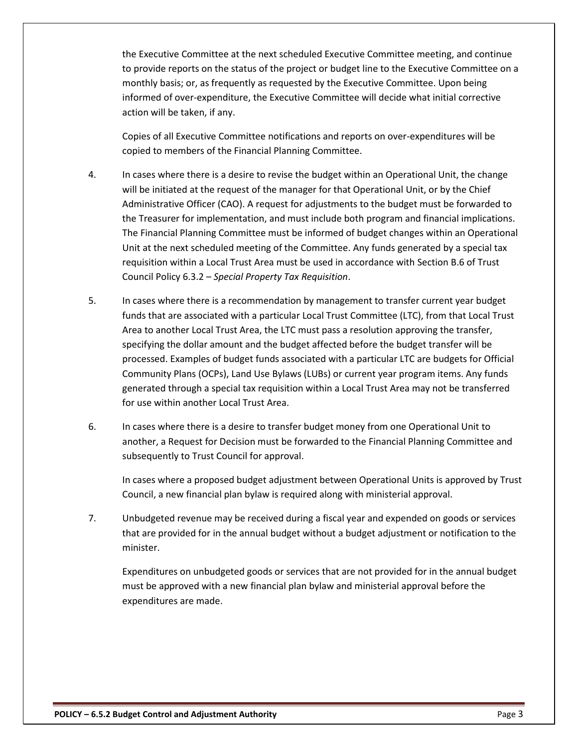the Executive Committee at the next scheduled Executive Committee meeting, and continue to provide reports on the status of the project or budget line to the Executive Committee on a monthly basis; or, as frequently as requested by the Executive Committee. Upon being informed of over-expenditure, the Executive Committee will decide what initial corrective action will be taken, if any.

Copies of all Executive Committee notifications and reports on over-expenditures will be copied to members of the Financial Planning Committee.

- 4. In cases where there is a desire to revise the budget within an Operational Unit, the change will be initiated at the request of the manager for that Operational Unit, or by the Chief Administrative Officer (CAO). A request for adjustments to the budget must be forwarded to the Treasurer for implementation, and must include both program and financial implications. The Financial Planning Committee must be informed of budget changes within an Operational Unit at the next scheduled meeting of the Committee. Any funds generated by a special tax requisition within a Local Trust Area must be used in accordance with Section B.6 of Trust Council Policy 6.3.2 – *Special Property Tax Requisition*.
- 5. In cases where there is a recommendation by management to transfer current year budget funds that are associated with a particular Local Trust Committee (LTC), from that Local Trust Area to another Local Trust Area, the LTC must pass a resolution approving the transfer, specifying the dollar amount and the budget affected before the budget transfer will be processed. Examples of budget funds associated with a particular LTC are budgets for Official Community Plans (OCPs), Land Use Bylaws (LUBs) or current year program items. Any funds generated through a special tax requisition within a Local Trust Area may not be transferred for use within another Local Trust Area.
- 6. In cases where there is a desire to transfer budget money from one Operational Unit to another, a Request for Decision must be forwarded to the Financial Planning Committee and subsequently to Trust Council for approval.

In cases where a proposed budget adjustment between Operational Units is approved by Trust Council, a new financial plan bylaw is required along with ministerial approval.

7. Unbudgeted revenue may be received during a fiscal year and expended on goods or services that are provided for in the annual budget without a budget adjustment or notification to the minister.

Expenditures on unbudgeted goods or services that are not provided for in the annual budget must be approved with a new financial plan bylaw and ministerial approval before the expenditures are made.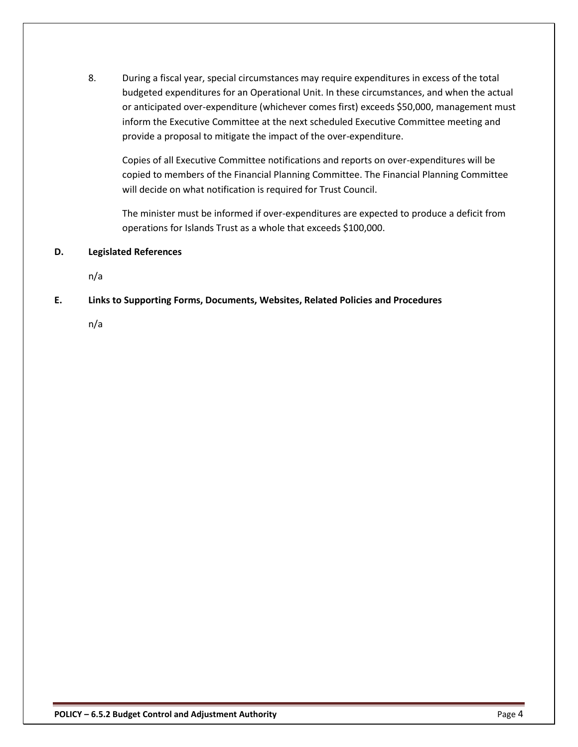8. During a fiscal year, special circumstances may require expenditures in excess of the total budgeted expenditures for an Operational Unit. In these circumstances, and when the actual or anticipated over-expenditure (whichever comes first) exceeds \$50,000, management must inform the Executive Committee at the next scheduled Executive Committee meeting and provide a proposal to mitigate the impact of the over-expenditure.

Copies of all Executive Committee notifications and reports on over-expenditures will be copied to members of the Financial Planning Committee. The Financial Planning Committee will decide on what notification is required for Trust Council.

The minister must be informed if over-expenditures are expected to produce a deficit from operations for Islands Trust as a whole that exceeds \$100,000.

## **D. Legislated References**

n/a

## **E. Links to Supporting Forms, Documents, Websites, Related Policies and Procedures**

n/a